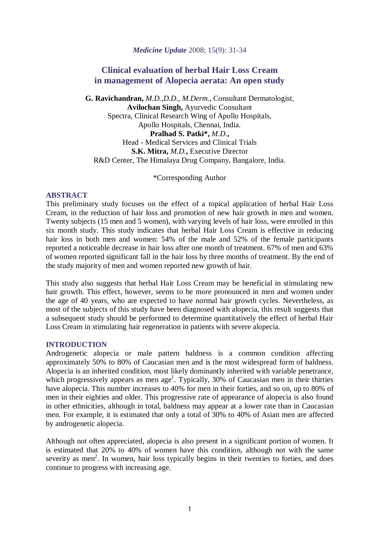*Medicine Update* 2008; 15(9): 31-34

# **Clinical evaluation of herbal Hair Loss Cream in management of Alopecia aerata: An open study**

**G. Ravichandran,** *M.D.,D.D., M.Derm.*, Consultant Dermatologist, **Avilochan Singh,** Ayurvedic Consultant Spectra, Clinical Research Wing of Apollo Hospitals, Apollo Hospitals, Chennai, India. **Pralhad S. Patki\*,** *M.D.***,** Head - Medical Services and Clinical Trials **S.K. Mitra,** *M.D.***,** Executive Director R&D Center, The Himalaya Drug Company, Bangalore, India.

\*Corresponding Author

#### **ABSTRACT**

This preliminary study focuses on the effect of a topical application of herbal Hair Loss Cream, in the reduction of hair loss and promotion of new hair growth in men and women. Twenty subjects (15 men and 5 women), with varying levels of hair loss, were enrolled in this six month study. This study indicates that herbal Hair Loss Cream is effective in reducing hair loss in both men and women: 54% of the male and 52% of the female participants reported a noticeable decrease in hair loss after one month of treatment. 67% of men and 63% of women reported significant fall in the hair loss by three months of treatment. By the end of the study majority of men and women reported new growth of hair.

This study also suggests that herbal Hair Loss Cream may be beneficial in stimulating new hair growth. This effect, however, seems to be more pronounced in men and women under the age of 40 years, who are expected to have normal hair growth cycles. Nevertheless, as most of the subjects of this study have been diagnosed with alopecia, this result suggests that a subsequent study should be performed to determine quantitatively the effect of herbal Hair Loss Cream in stimulating hair regeneration in patients with severe alopecia.

#### **INTRODUCTION**

Androgenetic alopecia or male pattern baldness is a common condition affecting approximately 50% to 80% of Caucasian men and is the most widespread form of baldness. Alopecia is an inherited condition, most likely dominantly inherited with variable penetrance, which progressively appears as men age<sup>1</sup>. Typically,  $30\%$  of Caucasian men in their thirties have alopecia. This number increases to 40% for men in their forties, and so on, up to 80% of men in their eighties and older. This progressive rate of appearance of alopecia is also found in other ethnicities, although in total, baldness may appear at a lower rate than in Caucasian men. For example, it is estimated that only a total of 30% to 40% of Asian men are affected by androgenetic alopecia.

Although not often appreciated, alopecia is also present in a significant portion of women. It is estimated that 20% to 40% of women have this condition, although not with the same severity as men<sup>2</sup>. In women, hair loss typically begins in their twenties to forties, and does continue to progress with increasing age.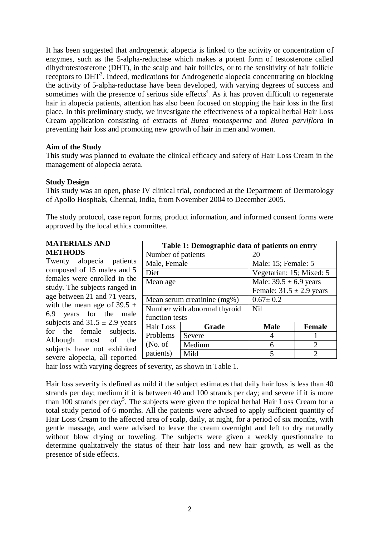It has been suggested that androgenetic alopecia is linked to the activity or concentration of enzymes, such as the 5-alpha-reductase which makes a potent form of testosterone called dihydrotestosterone (DHT), in the scalp and hair follicles, or to the sensitivity of hair follicle receptors to DHT<sup>3</sup>. Indeed, medications for Androgenetic alopecia concentrating on blocking the activity of 5-alpha-reductase have been developed, with varying degrees of success and sometimes with the presence of serious side effects<sup>4</sup> As it has proven difficult to regenerate hair in alopecia patients, attention has also been focused on stopping the hair loss in the first place. In this preliminary study, we investigate the effectiveness of a topical herbal Hair Loss Cream application consisting of extracts of *Butea monosperma* and *Butea parviflora* in preventing hair loss and promoting new growth of hair in men and women.

### **Aim of the Study**

This study was planned to evaluate the clinical efficacy and safety of Hair Loss Cream in the management of alopecia aerata.

### **Study Design**

This study was an open, phase IV clinical trial, conducted at the Department of Dermatology of Apollo Hospitals, Chennai, India, from November 2004 to December 2005.

The study protocol, case report forms, product information, and informed consent forms were approved by the local ethics committee.

#### **MATERIALS AND METHODS**

Twenty alopecia patients composed of 15 males and 5 females were enrolled in the study. The subjects ranged in age between 21 and 71 years, with the mean age of 39.5  $\pm$ 6.9 years for the male subjects and  $31.5 \pm 2.9$  years for the female subjects. Although most of the subjects have not exhibited severe alopecia, all reported  $\Box$ 

| Table 1: Demographic data of patients on entry |                              |                              |                             |  |  |  |  |
|------------------------------------------------|------------------------------|------------------------------|-----------------------------|--|--|--|--|
| Number of patients                             |                              | 20                           |                             |  |  |  |  |
| Male, Female                                   |                              | Male: 15; Female: 5          |                             |  |  |  |  |
| Diet                                           |                              | Vegetarian: 15; Mixed: 5     |                             |  |  |  |  |
| Mean age                                       |                              | Male: $39.5 \pm 6.9$ years   |                             |  |  |  |  |
|                                                |                              | Female: $31.5 \pm 2.9$ years |                             |  |  |  |  |
|                                                | Mean serum creatinine (mg%)  | $0.67 \pm 0.2$               |                             |  |  |  |  |
|                                                | Number with abnormal thyroid | <b>Nil</b>                   |                             |  |  |  |  |
| function tests                                 |                              |                              |                             |  |  |  |  |
| Hair Loss                                      | Grade                        | <b>Male</b>                  | <b>Female</b>               |  |  |  |  |
| Problems                                       | Severe                       |                              |                             |  |  |  |  |
| (No. of)                                       | Medium                       | 6                            | $\mathcal{D}_{\mathcal{L}}$ |  |  |  |  |
| patients)                                      | Mild                         | 5                            | っ                           |  |  |  |  |

hair loss with varying degrees of severity, as shown in Table 1.

Hair loss severity is defined as mild if the subject estimates that daily hair loss is less than 40 strands per day; medium if it is between 40 and 100 strands per day; and severe if it is more than 100 strands per day<sup>5</sup>. The subjects were given the topical herbal Hair Loss Cream for a total study period of 6 months. All the patients were advised to apply sufficient quantity of Hair Loss Cream to the affected area of scalp, daily, at night, for a period of six months, with gentle massage, and were advised to leave the cream overnight and left to dry naturally without blow drying or toweling. The subjects were given a weekly questionnaire to determine qualitatively the status of their hair loss and new hair growth, as well as the presence of side effects.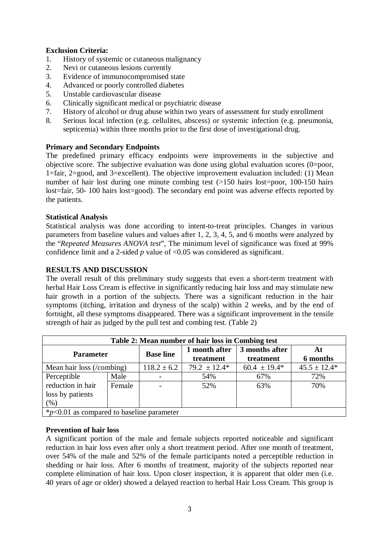# **Exclusion Criteria:**

- 1. History of systemic or cutaneous malignancy<br>2. Nevi or cutaneous lesions currently
- Nevi or cutaneous lesions currently
- 3. Evidence of immunocompromised state
- 4. Advanced or poorly controlled diabetes
- 5. Unstable cardiovascular disease
- 6. Clinically significant medical or psychiatric disease
- 7. History of alcohol or drug abuse within two years of assessment for study enrollment
- 8. Serious local infection (e.g. cellulites, abscess) or systemic infection (e.g. pneumonia, septicemia) within three months prior to the first dose of investigational drug.

# **Primary and Secondary Endpoints**

The predefined primary efficacy endpoints were improvements in the subjective and objective score. The subjective evaluation was done using global evaluation scores (0=poor, 1=fair, 2=good, and 3=excellent). The objective improvement evaluation included: (1) Mean number of hair lost during one minute combing test (>150 hairs lost=poor, 100-150 hairs lost=fair, 50- 100 hairs lost=good). The secondary end point was adverse effects reported by the patients.

# **Statistical Analysis**

Statistical analysis was done according to intent-to-treat principles. Changes in various parameters from baseline values and values after 1, 2, 3, 4, 5, and 6 months were analyzed by the "*Repeated Measures ANOVA test*", The minimum level of significance was fixed at 99% confidence limit and a 2-sided *p* value of <0.05 was considered as significant.

### **RESULTS AND DISCUSSION**

The overall result of this preliminary study suggests that even a short-term treatment with herbal Hair Loss Cream is effective in significantly reducing hair loss and may stimulate new hair growth in a portion of the subjects. There was a significant reduction in the hair symptoms (itching, irritation and dryness of the scalp) within 2 weeks, and by the end of fortnight, all these symptoms disappeared. There was a significant improvement in the tensile strength of hair as judged by the pull test and combing test. (Table 2)

| Table 2: Mean number of hair loss in Combing test |        |                  |                            |                             |                  |  |  |  |
|---------------------------------------------------|--------|------------------|----------------------------|-----------------------------|------------------|--|--|--|
| <b>Parameter</b>                                  |        | <b>Base line</b> | 1 month after<br>treatment | 3 months after<br>treatment | At<br>6 months   |  |  |  |
| Mean hair loss (/combing)                         |        | $118.2 \pm 6.2$  | $79.2 \pm 12.4*$           | $60.4 \pm 19.4*$            | $45.5 \pm 12.4*$ |  |  |  |
| Perceptible                                       | Male   |                  | 54%                        | 67%                         | 72%              |  |  |  |
| reduction in hair                                 | Female |                  | 52%                        | 63%                         | 70%              |  |  |  |
| loss by patients                                  |        |                  |                            |                             |                  |  |  |  |
| (% )                                              |        |                  |                            |                             |                  |  |  |  |
| $*_{p<0.01}$ as compared to baseline parameter    |        |                  |                            |                             |                  |  |  |  |

### **Prevention of hair loss**

A significant portion of the male and female subjects reported noticeable and significant reduction in hair loss even after only a short treatment period. After one month of treatment, over 54% of the male and 52% of the female participants noted a perceptible reduction in shedding or hair loss. After 6 months of treatment, majority of the subjects reported near complete elimination of hair loss. Upon closer inspection, it is apparent that older men (i.e. 40 years of age or older) showed a delayed reaction to herbal Hair Loss Cream. This group is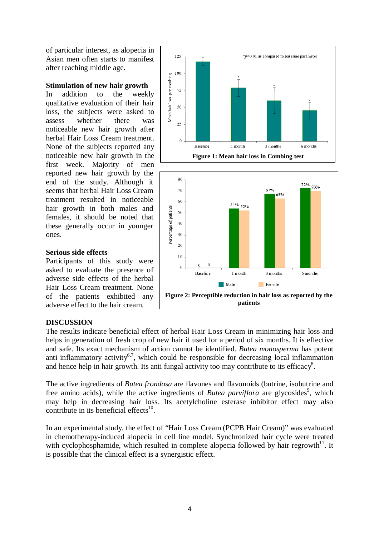of particular interest, as alopecia in Asian men often starts to manifest after reaching middle age.

### **Stimulation of new hair growth**

In addition to the weekly qualitative evaluation of their hair loss, the subjects were asked to assess whether there was noticeable new hair growth after herbal Hair Loss Cream treatment. None of the subjects reported any noticeable new hair growth in the first week. Majority of men reported new hair growth by the end of the study. Although it seems that herbal Hair Loss Cream treatment resulted in noticeable hair growth in both males and females, it should be noted that these generally occur in younger ones.





#### **Serious side effects**

Participants of this study were asked to evaluate the presence of adverse side effects of the herbal Hair Loss Cream treatment. None of the patients exhibited any adverse effect to the hair cream.

### **DISCUSSION**

The results indicate beneficial effect of herbal Hair Loss Cream in minimizing hair loss and helps in generation of fresh crop of new hair if used for a period of six months. It is effective and safe. Its exact mechanism of action cannot be identified. *Butea monosperma* has potent anti inflammatory activity<sup>6,7</sup>, which could be responsible for decreasing local inflammation and hence help in hair growth. Its anti fungal activity too may contribute to its efficacy<sup>8</sup>.

The active ingredients of *Butea frondosa* are flavones and flavonoids (butrine, isobutrine and free amino acids), while the active ingredients of *Butea parviflora* are glycosides<sup>9</sup>, which may help in decreasing hair loss. Its acetylcholine esterase inhibitor effect may also contribute in its beneficial effects $^{10}$ .

In an experimental study, the effect of "Hair Loss Cream (PCPB Hair Cream)" was evaluated in chemotherapy-induced alopecia in cell line model. Synchronized hair cycle were treated with cyclophosphamide, which resulted in complete alopecia followed by hair regrowth $11$ . It is possible that the clinical effect is a synergistic effect.